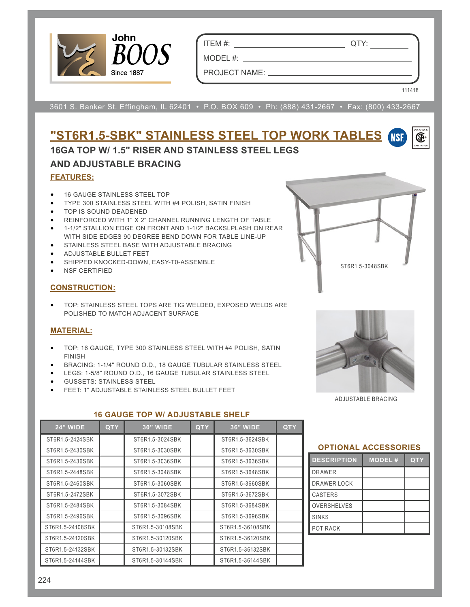

ITEM #: QTY:

MODEL  $#:$   $\_\_$ 

PROJECT NAME:

3601 S. Banker St. Effingham, IL 62401 • P.O. BOX 609 • Ph: (888) 431-2667 • Fax: (800) 433-2667

## **"ST6R1.5-SBK" STAINLESS STEEL TOP WORK TABLES** œ. **16GA TOP W/ 1.5" RISER AND STAINLESS STEEL LEGS AND ADJUSTABLE BRACING FEATURES:**

- 16 GAUGE STAINLESS STEEL TOP
- TYPE 300 STAINLESS STEEL WITH #4 POLISH, SATIN FINISH
- TOP IS SOUND DEADENED
- REINFORCED WITH 1" X 2" CHANNEL RUNNING LENGTH OF TABLE
- 1-1/2" STALLION EDGE ON FRONT AND 1-1/2" BACKSLPLASH ON REAR WITH SIDE EDGES 90 DEGREE BEND DOWN FOR TABLE LINE-UP
- STAINLESS STEEL BASE WITH ADJUSTABLE BRACING
- ADJUSTABLE BULLET FEET
- SHIPPED KNOCKED-DOWN, EASY-T0-ASSEMBLE
- NSF CERTIFIED

### **CONSTRUCTION:**

• TOP: STAINLESS STEEL TOPS ARE TIG WELDED, EXPOSED WELDS ARE POLISHED TO MATCH ADJACENT SURFACE

## **MATERIAL:**

- TOP: 16 GAUGE, TYPE 300 STAINLESS STEEL WITH #4 POLISH, SATIN FINISH
- BRACING: 1-1/4" ROUND O.D., 18 GAUGE TUBULAR STAINLESS STEEL

**16 GAUGE TOP W/ ADJUSTABLE SHELF**

- LEGS: 1-5/8" ROUND O.D., 16 GAUGE TUBULAR STAINLESS STEEL
- GUSSETS: STAINLESS STEEL
- FEET: 1" ADJUSTABLE STAINLESS STEEL BULLET FEET



ST6R1.5-3048SBK

111418

ADJUSTABLE BRACING

# **24" WIDE QTY 30" WIDE QTY 36" WIDE QTY** ST6R1.5-2424SBK ST6R1.5-3024SBK ST6R1.5-3624SBK ST6R1.5-2430SBK ST6R1.5-3030SBK ST6R1.5-3630SBK ST6R1.5-2436SBK ST6R1.5-3036SBK ST6R1.5-3636SBK ST6R1.5-2448SBK ST6R1.5-3048SBK ST6R1.5-3648SBK ST6R1.5-2460SBK ST6R1.5-3060SBK ST6R1.5-3660SBK ST6R1.5-2472SBK ST6R1.5-3072SBK ST6R1.5-3672SBK ST6R1.5-2484SBK | ST6R1.5-3084SBK | ST6R1.5-3684SBK ST6R1.5-2496SBK ST6R1.5-3096SBK ST6R1.5-3696SBK ST6R1.5-24108SBK ST6R1.5-30108SBK ST6R1.5-36108SBK ST6R1.5-24120SBK ST6R1.5-30120SBK ST6R1.5-36120SBK ST6R1.5-24132SBK | ST6R1.5-30132SBK | ST6R1.5-36132SBK ST6R1.5-24144SBK ST6R1.5-30144SBK ST6R1.5-36144SBK

#### **OPTIONAL ACCESSORIES**

| <b>DESCRIPTION</b> | <b>MODEL#</b> | <b>QTY</b> |  |  |  |  |  |
|--------------------|---------------|------------|--|--|--|--|--|
| <b>DRAWER</b>      |               |            |  |  |  |  |  |
| <b>DRAWER LOCK</b> |               |            |  |  |  |  |  |
| <b>CASTERS</b>     |               |            |  |  |  |  |  |
| <b>OVERSHELVES</b> |               |            |  |  |  |  |  |
| <b>SINKS</b>       |               |            |  |  |  |  |  |
| POT RACK           |               |            |  |  |  |  |  |